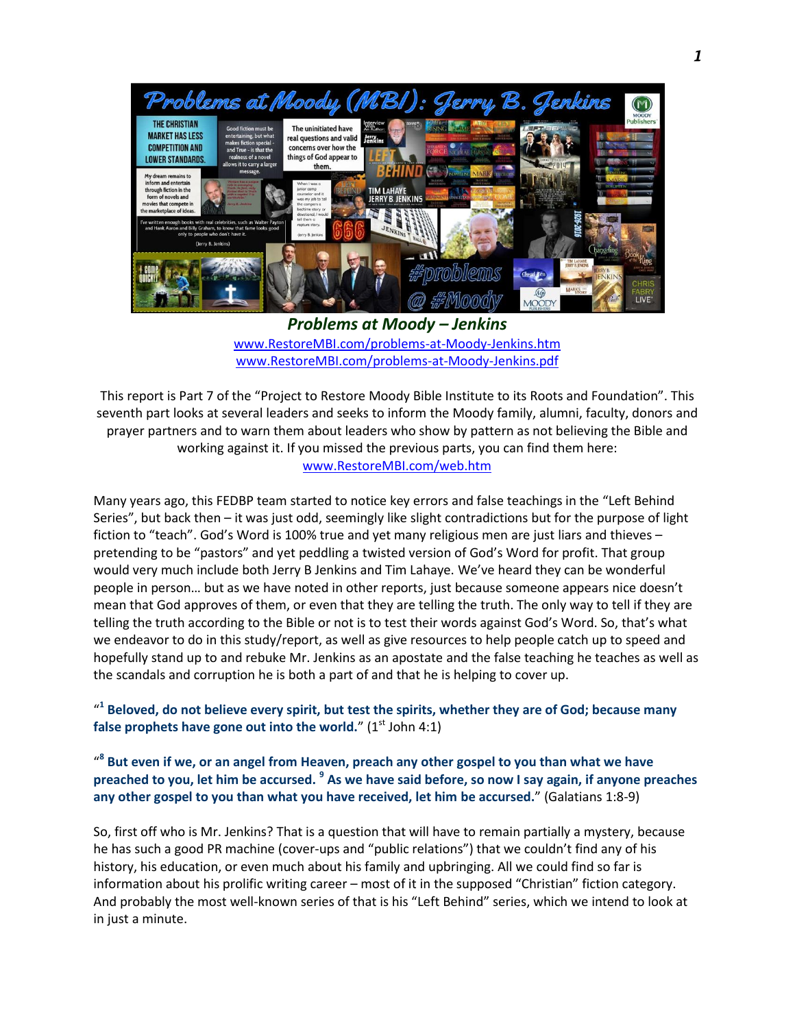

*Problems at Moody – Jenkins* [www.RestoreMBI.com/problems-at-Moody-Jenkins.htm](http://www.restorembi.com/problems-at-Moody-Jenkins.htm) [www.RestoreMBI.com/problems-at-Moody-Jenkins.pdf](http://www.restorembi.com/problems-at-Moody-Jenkins.pdf)

This report is Part 7 of the "Project to Restore Moody Bible Institute to its Roots and Foundation". This seventh part looks at several leaders and seeks to inform the Moody family, alumni, faculty, donors and prayer partners and to warn them about leaders who show by pattern as not believing the Bible and working against it. If you missed the previous parts, you can find them here: [www.RestoreMBI.com/web.htm](http://www.restorembi.com/web.htm)

Many years ago, this FEDBP team started to notice key errors and false teachings in the "Left Behind Series", but back then – it was just odd, seemingly like slight contradictions but for the purpose of light fiction to "teach". God's Word is 100% true and yet many religious men are just liars and thieves – pretending to be "pastors" and yet peddling a twisted version of God's Word for profit. That group would very much include both Jerry B Jenkins and Tim Lahaye. We've heard they can be wonderful people in person… but as we have noted in other reports, just because someone appears nice doesn't mean that God approves of them, or even that they are telling the truth. The only way to tell if they are telling the truth according to the Bible or not is to test their words against God's Word. So, that's what we endeavor to do in this study/report, as well as give resources to help people catch up to speed and hopefully stand up to and rebuke Mr. Jenkins as an apostate and the false teaching he teaches as well as the scandals and corruption he is both a part of and that he is helping to cover up.

" **1 Beloved, do not believe every spirit, but test the spirits, whether they are of God; because many**  false prophets have gone out into the world." (1<sup>st</sup> John 4:1)

" **8 But even if we, or an angel from Heaven, preach any other gospel to you than what we have preached to you, let him be accursed. <sup>9</sup> As we have said before, so now I say again, if anyone preaches any other gospel to you than what you have received, let him be accursed.**" (Galatians 1:8-9)

So, first off who is Mr. Jenkins? That is a question that will have to remain partially a mystery, because he has such a good PR machine (cover-ups and "public relations") that we couldn't find any of his history, his education, or even much about his family and upbringing. All we could find so far is information about his prolific writing career – most of it in the supposed "Christian" fiction category. And probably the most well-known series of that is his "Left Behind" series, which we intend to look at in just a minute.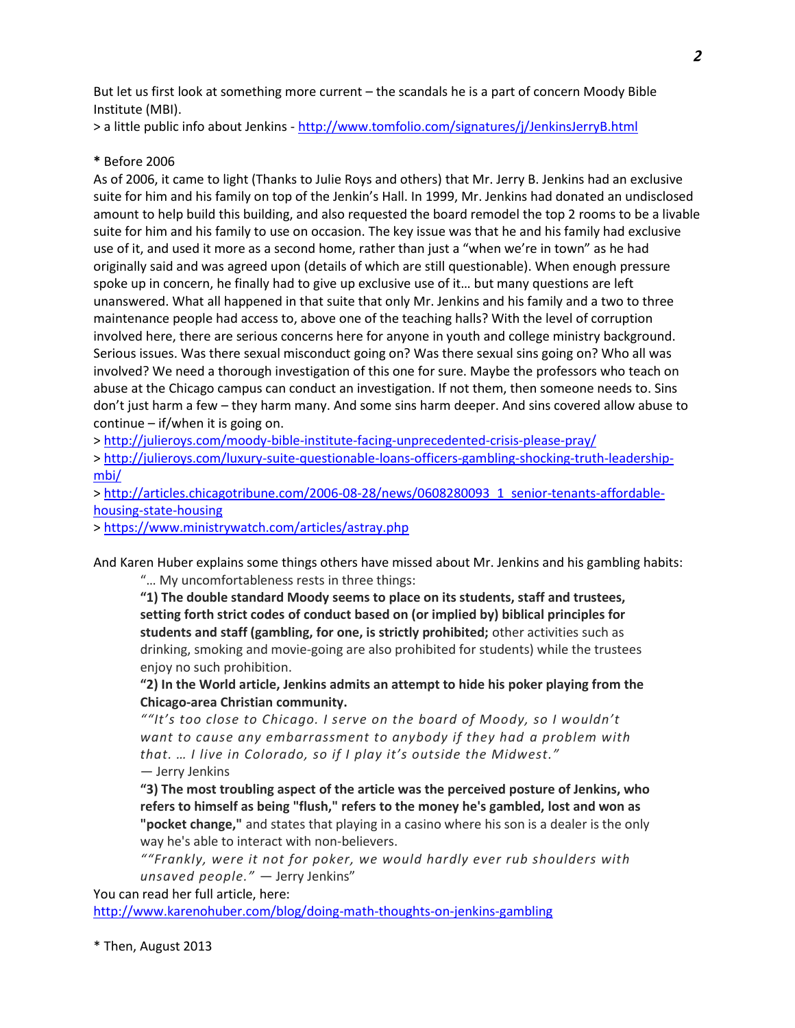But let us first look at something more current – the scandals he is a part of concern Moody Bible Institute (MBI).

> a little public info about Jenkins - <http://www.tomfolio.com/signatures/j/JenkinsJerryB.html>

# **\*** Before 2006

As of 2006, it came to light (Thanks to Julie Roys and others) that Mr. Jerry B. Jenkins had an exclusive suite for him and his family on top of the Jenkin's Hall. In 1999, Mr. Jenkins had donated an undisclosed amount to help build this building, and also requested the board remodel the top 2 rooms to be a livable suite for him and his family to use on occasion. The key issue was that he and his family had exclusive use of it, and used it more as a second home, rather than just a "when we're in town" as he had originally said and was agreed upon (details of which are still questionable). When enough pressure spoke up in concern, he finally had to give up exclusive use of it… but many questions are left unanswered. What all happened in that suite that only Mr. Jenkins and his family and a two to three maintenance people had access to, above one of the teaching halls? With the level of corruption involved here, there are serious concerns here for anyone in youth and college ministry background. Serious issues. Was there sexual misconduct going on? Was there sexual sins going on? Who all was involved? We need a thorough investigation of this one for sure. Maybe the professors who teach on abuse at the Chicago campus can conduct an investigation. If not them, then someone needs to. Sins don't just harm a few – they harm many. And some sins harm deeper. And sins covered allow abuse to continue – if/when it is going on.

><http://julieroys.com/moody-bible-institute-facing-unprecedented-crisis-please-pray/>

> [http://julieroys.com/luxury-suite-questionable-loans-officers-gambling-shocking-truth-leadership](http://julieroys.com/luxury-suite-questionable-loans-officers-gambling-shocking-truth-leadership-mbi/)[mbi/](http://julieroys.com/luxury-suite-questionable-loans-officers-gambling-shocking-truth-leadership-mbi/)

> [http://articles.chicagotribune.com/2006-08-28/news/0608280093\\_1\\_senior-tenants-affordable](http://articles.chicagotribune.com/2006-08-28/news/0608280093_1_senior-tenants-affordable-housing-state-housing)[housing-state-housing](http://articles.chicagotribune.com/2006-08-28/news/0608280093_1_senior-tenants-affordable-housing-state-housing)

><https://www.ministrywatch.com/articles/astray.php>

And Karen Huber explains some things others have missed about Mr. Jenkins and his gambling habits:

"… My uncomfortableness rests in three things:

**"1) The double standard Moody seems to place on its students, staff and trustees, setting forth strict codes of conduct based on (or implied by) biblical principles for students and staff (gambling, for one, is strictly prohibited;** other activities such as drinking, smoking and movie-going are also prohibited for students) while the trustees enjoy no such prohibition.

**"2) In the World article, Jenkins admits an attempt to hide his poker playing from the Chicago-area Christian community.**

*""It's too close to Chicago. I serve on the board of Moody, so I wouldn't want to cause any embarrassment to anybody if they had a problem with that. … I live in Colorado, so if I play it's outside the Midwest."* — Jerry Jenkins

**"3) The most troubling aspect of the article was the perceived posture of Jenkins, who refers to himself as being "flush," refers to the money he's gambled, lost and won as "pocket change,"** and states that playing in a casino where his son is a dealer is the only way he's able to interact with non-believers.

*""Frankly, were it not for poker, we would hardly ever rub shoulders with unsaved people."* — Jerry Jenkins"

You can read her full article, here:

<http://www.karenohuber.com/blog/doing-math-thoughts-on-jenkins-gambling>

\* Then, August 2013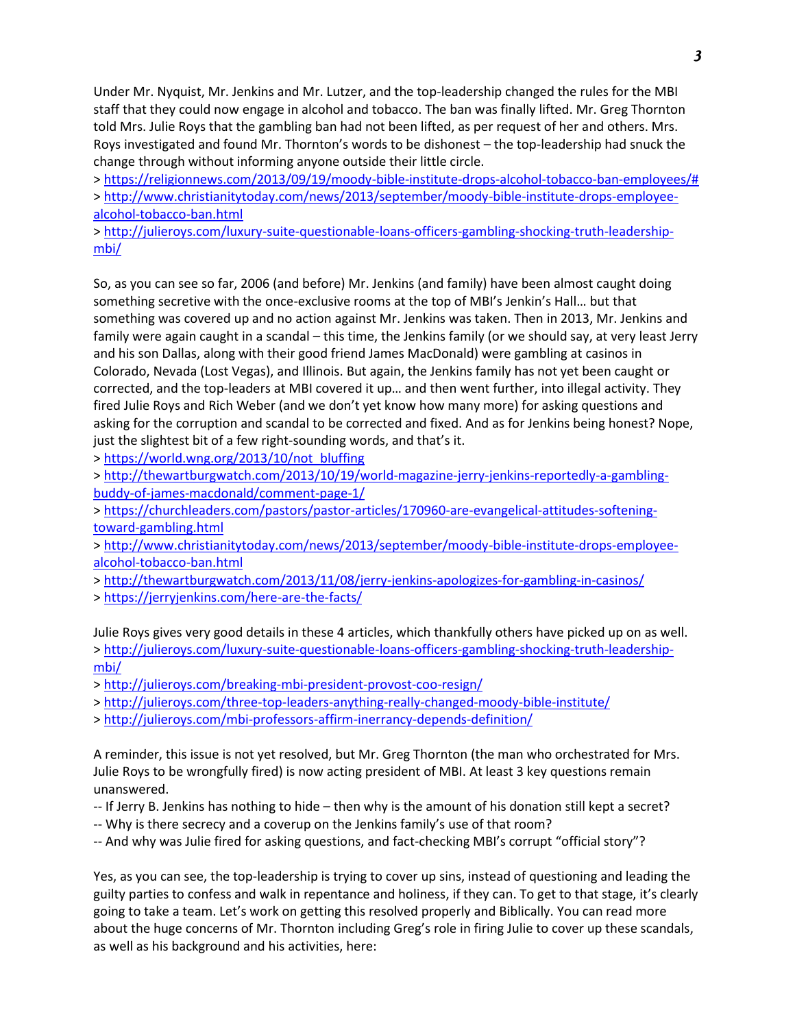Under Mr. Nyquist, Mr. Jenkins and Mr. Lutzer, and the top-leadership changed the rules for the MBI staff that they could now engage in alcohol and tobacco. The ban was finally lifted. Mr. Greg Thornton told Mrs. Julie Roys that the gambling ban had not been lifted, as per request of her and others. Mrs. Roys investigated and found Mr. Thornton's words to be dishonest – the top-leadership had snuck the change through without informing anyone outside their little circle.

> [https://religionnews.com/2013/09/19/moody-bible-institute-drops-alcohol-tobacco-ban-employees/#](https://religionnews.com/2013/09/19/moody-bible-institute-drops-alcohol-tobacco-ban-employees/) > [http://www.christianitytoday.com/news/2013/september/moody-bible-institute-drops-employee](http://www.christianitytoday.com/news/2013/september/moody-bible-institute-drops-employee-alcohol-tobacco-ban.html)[alcohol-tobacco-ban.html](http://www.christianitytoday.com/news/2013/september/moody-bible-institute-drops-employee-alcohol-tobacco-ban.html)

> [http://julieroys.com/luxury-suite-questionable-loans-officers-gambling-shocking-truth-leadership](http://julieroys.com/luxury-suite-questionable-loans-officers-gambling-shocking-truth-leadership-mbi/)[mbi/](http://julieroys.com/luxury-suite-questionable-loans-officers-gambling-shocking-truth-leadership-mbi/)

So, as you can see so far, 2006 (and before) Mr. Jenkins (and family) have been almost caught doing something secretive with the once-exclusive rooms at the top of MBI's Jenkin's Hall… but that something was covered up and no action against Mr. Jenkins was taken. Then in 2013, Mr. Jenkins and family were again caught in a scandal – this time, the Jenkins family (or we should say, at very least Jerry and his son Dallas, along with their good friend James MacDonald) were gambling at casinos in Colorado, Nevada (Lost Vegas), and Illinois. But again, the Jenkins family has not yet been caught or corrected, and the top-leaders at MBI covered it up… and then went further, into illegal activity. They fired Julie Roys and Rich Weber (and we don't yet know how many more) for asking questions and asking for the corruption and scandal to be corrected and fixed. And as for Jenkins being honest? Nope, just the slightest bit of a few right-sounding words, and that's it.

> [https://world.wng.org/2013/10/not\\_bluffing](https://world.wng.org/2013/10/not_bluffing)

> [http://thewartburgwatch.com/2013/10/19/world-magazine-jerry-jenkins-reportedly-a-gambling](http://thewartburgwatch.com/2013/10/19/world-magazine-jerry-jenkins-reportedly-a-gambling-buddy-of-james-macdonald/comment-page-1/)[buddy-of-james-macdonald/comment-page-1/](http://thewartburgwatch.com/2013/10/19/world-magazine-jerry-jenkins-reportedly-a-gambling-buddy-of-james-macdonald/comment-page-1/)

> [https://churchleaders.com/pastors/pastor-articles/170960-are-evangelical-attitudes-softening](https://churchleaders.com/pastors/pastor-articles/170960-are-evangelical-attitudes-softening-toward-gambling.html)[toward-gambling.html](https://churchleaders.com/pastors/pastor-articles/170960-are-evangelical-attitudes-softening-toward-gambling.html)

> [http://www.christianitytoday.com/news/2013/september/moody-bible-institute-drops-employee](http://www.christianitytoday.com/news/2013/september/moody-bible-institute-drops-employee-alcohol-tobacco-ban.html)[alcohol-tobacco-ban.html](http://www.christianitytoday.com/news/2013/september/moody-bible-institute-drops-employee-alcohol-tobacco-ban.html)

><http://thewartburgwatch.com/2013/11/08/jerry-jenkins-apologizes-for-gambling-in-casinos/>

><https://jerryjenkins.com/here-are-the-facts/>

Julie Roys gives very good details in these 4 articles, which thankfully others have picked up on as well. > [http://julieroys.com/luxury-suite-questionable-loans-officers-gambling-shocking-truth-leadership](http://julieroys.com/luxury-suite-questionable-loans-officers-gambling-shocking-truth-leadership-mbi/)[mbi/](http://julieroys.com/luxury-suite-questionable-loans-officers-gambling-shocking-truth-leadership-mbi/)

><http://julieroys.com/breaking-mbi-president-provost-coo-resign/>

><http://julieroys.com/three-top-leaders-anything-really-changed-moody-bible-institute/>

><http://julieroys.com/mbi-professors-affirm-inerrancy-depends-definition/>

A reminder, this issue is not yet resolved, but Mr. Greg Thornton (the man who orchestrated for Mrs. Julie Roys to be wrongfully fired) is now acting president of MBI. At least 3 key questions remain unanswered.

- -- If Jerry B. Jenkins has nothing to hide then why is the amount of his donation still kept a secret?
- -- Why is there secrecy and a coverup on the Jenkins family's use of that room?
- -- And why was Julie fired for asking questions, and fact-checking MBI's corrupt "official story"?

Yes, as you can see, the top-leadership is trying to cover up sins, instead of questioning and leading the guilty parties to confess and walk in repentance and holiness, if they can. To get to that stage, it's clearly going to take a team. Let's work on getting this resolved properly and Biblically. You can read more about the huge concerns of Mr. Thornton including Greg's role in firing Julie to cover up these scandals, as well as his background and his activities, here: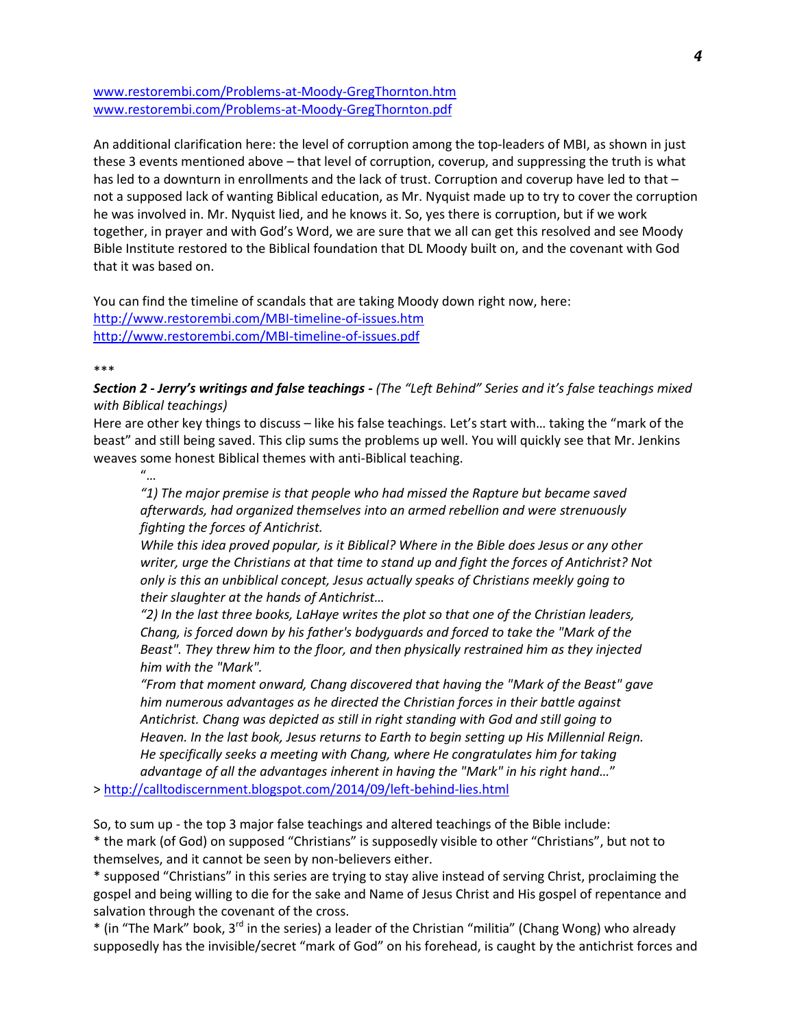[www.restorembi.com/Problems-at-Moody-GregThornton.htm](http://www.restorembi.com/Problems-at-Moody-GregThornton.htm) [www.restorembi.com/Problems-at-Moody-GregThornton.pdf](http://www.restorembi.com/Problems-at-Moody-GregThornton.pdf) 

An additional clarification here: the level of corruption among the top-leaders of MBI, as shown in just these 3 events mentioned above – that level of corruption, coverup, and suppressing the truth is what has led to a downturn in enrollments and the lack of trust. Corruption and coverup have led to that not a supposed lack of wanting Biblical education, as Mr. Nyquist made up to try to cover the corruption he was involved in. Mr. Nyquist lied, and he knows it. So, yes there is corruption, but if we work together, in prayer and with God's Word, we are sure that we all can get this resolved and see Moody Bible Institute restored to the Biblical foundation that DL Moody built on, and the covenant with God that it was based on.

You can find the timeline of scandals that are taking Moody down right now, here: <http://www.restorembi.com/MBI-timeline-of-issues.htm> <http://www.restorembi.com/MBI-timeline-of-issues.pdf>

\*\*\*

*Section 2 - Jerry's writings and false teachings - (The "Left Behind" Series and it's false teachings mixed with Biblical teachings)*

Here are other key things to discuss – like his false teachings. Let's start with… taking the "mark of the beast" and still being saved. This clip sums the problems up well. You will quickly see that Mr. Jenkins weaves some honest Biblical themes with anti-Biblical teaching.

"…

*"1) The major premise is that people who had missed the Rapture but became saved afterwards, had organized themselves into an armed rebellion and were strenuously fighting the forces of Antichrist.*

*While this idea proved popular, is it Biblical? Where in the Bible does Jesus or any other writer, urge the Christians at that time to stand up and fight the forces of Antichrist? Not only is this an unbiblical concept, Jesus actually speaks of Christians meekly going to their slaughter at the hands of Antichrist…*

*"2) In the last three books, LaHaye writes the plot so that one of the Christian leaders, Chang, is forced down by his father's bodyguards and forced to take the "Mark of the Beast". They threw him to the floor, and then physically restrained him as they injected him with the "Mark".*

*"From that moment onward, Chang discovered that having the "Mark of the Beast" gave him numerous advantages as he directed the Christian forces in their battle against Antichrist. Chang was depicted as still in right standing with God and still going to Heaven. In the last book, Jesus returns to Earth to begin setting up His Millennial Reign. He specifically seeks a meeting with Chang, where He congratulates him for taking advantage of all the advantages inherent in having the "Mark" in his right hand…*"

><http://calltodiscernment.blogspot.com/2014/09/left-behind-lies.html>

So, to sum up - the top 3 major false teachings and altered teachings of the Bible include: \* the mark (of God) on supposed "Christians" is supposedly visible to other "Christians", but not to themselves, and it cannot be seen by non-believers either.

\* supposed "Christians" in this series are trying to stay alive instead of serving Christ, proclaiming the gospel and being willing to die for the sake and Name of Jesus Christ and His gospel of repentance and salvation through the covenant of the cross.

\* (in "The Mark" book, 3<sup>rd</sup> in the series) a leader of the Christian "militia" (Chang Wong) who already supposedly has the invisible/secret "mark of God" on his forehead, is caught by the antichrist forces and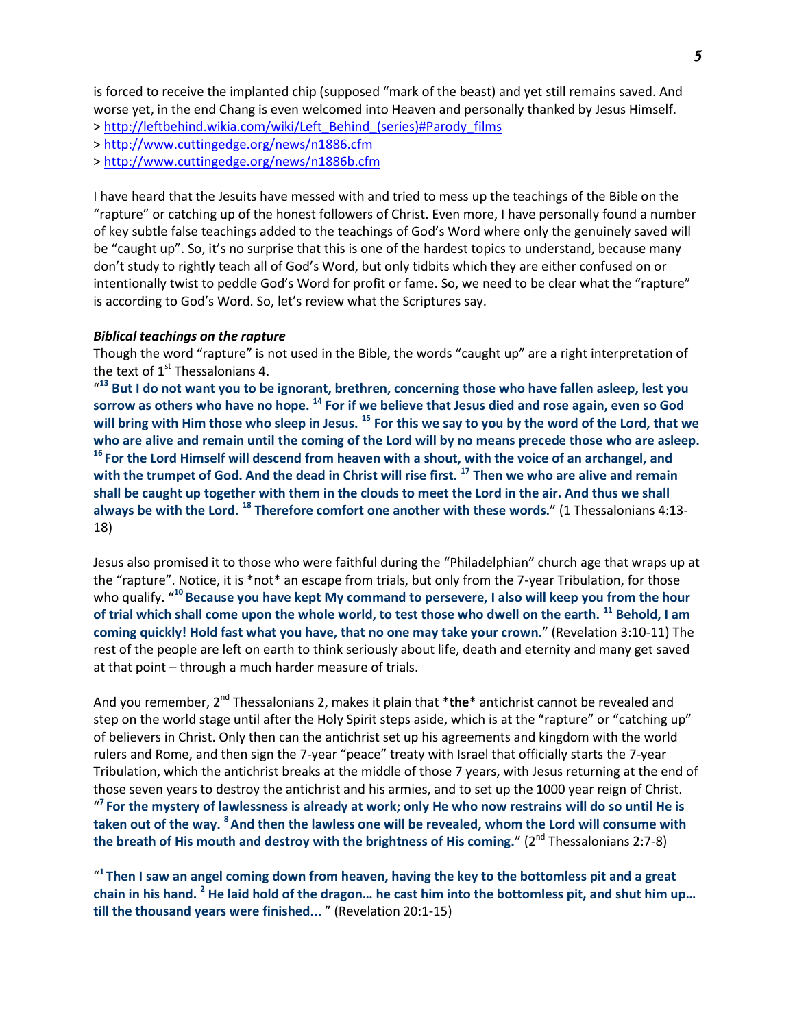is forced to receive the implanted chip (supposed "mark of the beast) and yet still remains saved. And worse yet, in the end Chang is even welcomed into Heaven and personally thanked by Jesus Himself.

> [http://leftbehind.wikia.com/wiki/Left\\_Behind\\_\(series\)#Parody\\_films](http://leftbehind.wikia.com/wiki/Left_Behind_(series)#Parody_films)

><http://www.cuttingedge.org/news/n1886.cfm>

><http://www.cuttingedge.org/news/n1886b.cfm>

I have heard that the Jesuits have messed with and tried to mess up the teachings of the Bible on the "rapture" or catching up of the honest followers of Christ. Even more, I have personally found a number of key subtle false teachings added to the teachings of God's Word where only the genuinely saved will be "caught up". So, it's no surprise that this is one of the hardest topics to understand, because many don't study to rightly teach all of God's Word, but only tidbits which they are either confused on or intentionally twist to peddle God's Word for profit or fame. So, we need to be clear what the "rapture" is according to God's Word. So, let's review what the Scriptures say.

### *Biblical teachings on the rapture*

Though the word "rapture" is not used in the Bible, the words "caught up" are a right interpretation of the text of  $1<sup>st</sup>$  Thessalonians 4.

" **<sup>13</sup> But I do not want you to be ignorant, brethren, concerning those who have fallen asleep, lest you sorrow as others who have no hope. <sup>14</sup> For if we believe that Jesus died and rose again, even so God will bring with Him those who sleep in Jesus. <sup>15</sup> For this we say to you by the word of the Lord, that we who are alive and remain until the coming of the Lord will by no means precede those who are asleep. <sup>16</sup>For the Lord Himself will descend from heaven with a shout, with the voice of an archangel, and with the trumpet of God. And the dead in Christ will rise first. <sup>17</sup> Then we who are alive and remain shall be caught up together with them in the clouds to meet the Lord in the air. And thus we shall always be with the Lord. <sup>18</sup> Therefore comfort one another with these words.**" (1 Thessalonians 4:13- 18)

Jesus also promised it to those who were faithful during the "Philadelphian" church age that wraps up at the "rapture". Notice, it is \*not\* an escape from trials, but only from the 7-year Tribulation, for those who qualify. " **<sup>10</sup>Because you have kept My command to persevere, I also will keep you from the hour of trial which shall come upon the whole world, to test those who dwell on the earth. <sup>11</sup> Behold, I am coming quickly! Hold fast what you have, that no one may take your crown.**" (Revelation 3:10-11) The rest of the people are left on earth to think seriously about life, death and eternity and many get saved at that point – through a much harder measure of trials.

And you remember, 2nd Thessalonians 2, makes it plain that \***the**\* antichrist cannot be revealed and step on the world stage until after the Holy Spirit steps aside, which is at the "rapture" or "catching up" of believers in Christ. Only then can the antichrist set up his agreements and kingdom with the world rulers and Rome, and then sign the 7-year "peace" treaty with Israel that officially starts the 7-year Tribulation, which the antichrist breaks at the middle of those 7 years, with Jesus returning at the end of those seven years to destroy the antichrist and his armies, and to set up the 1000 year reign of Christ. " **<sup>7</sup>For the mystery of lawlessness is already at work; only He who now restrains will do so until He is taken out of the way. <sup>8</sup>And then the lawless one will be revealed, whom the Lord will consume with**  the breath of His mouth and destroy with the brightness of His coming." (2<sup>nd</sup> Thessalonians 2:7-8)

" **<sup>1</sup>Then I saw an angel coming down from heaven, having the key to the bottomless pit and a great chain in his hand. <sup>2</sup> He laid hold of the dragon… he cast him into the bottomless pit, and shut him up… till the thousand years were finished...** " (Revelation 20:1-15)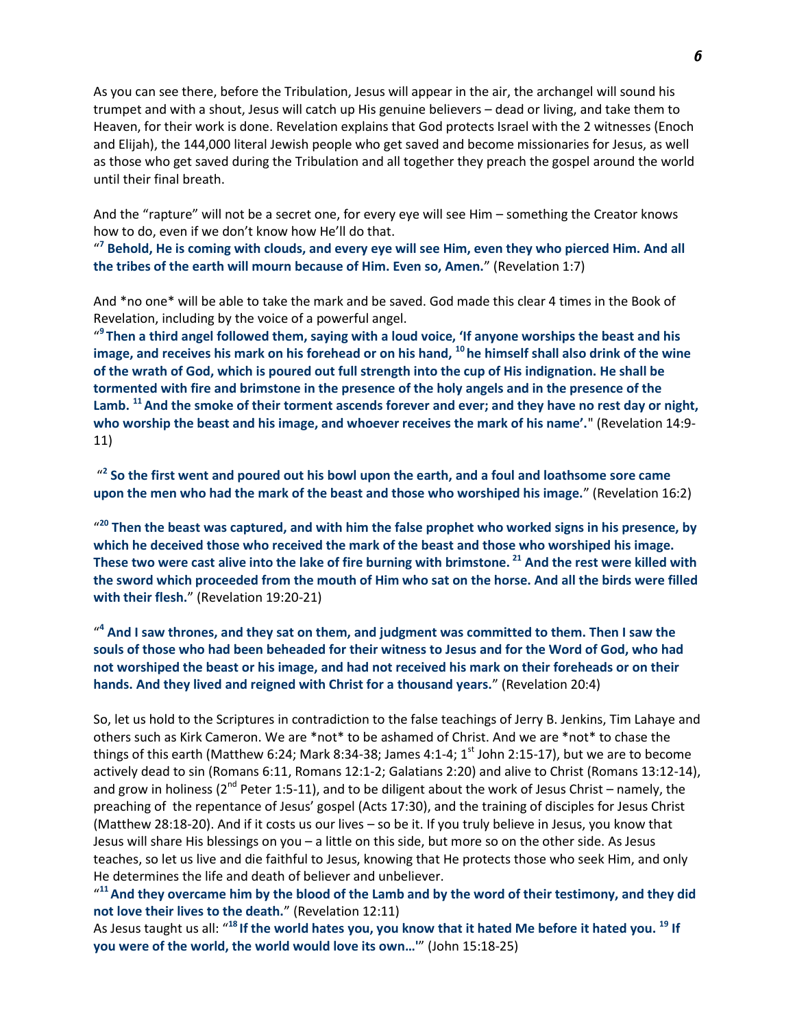As you can see there, before the Tribulation, Jesus will appear in the air, the archangel will sound his trumpet and with a shout, Jesus will catch up His genuine believers – dead or living, and take them to Heaven, for their work is done. Revelation explains that God protects Israel with the 2 witnesses (Enoch and Elijah), the 144,000 literal Jewish people who get saved and become missionaries for Jesus, as well as those who get saved during the Tribulation and all together they preach the gospel around the world until their final breath.

And the "rapture" will not be a secret one, for every eye will see Him – something the Creator knows how to do, even if we don't know how He'll do that.

" **7 Behold, He is coming with clouds, and every eye will see Him, even they who pierced Him. And all the tribes of the earth will mourn because of Him. Even so, Amen.**" (Revelation 1:7)

And \*no one\* will be able to take the mark and be saved. God made this clear 4 times in the Book of Revelation, including by the voice of a powerful angel.

" **9 Then a third angel followed them, saying with a loud voice, 'If anyone worships the beast and his image, and receives his mark on his forehead or on his hand, <sup>10</sup> he himself shall also drink of the wine of the wrath of God, which is poured out full strength into the cup of His indignation. He shall be tormented with fire and brimstone in the presence of the holy angels and in the presence of the Lamb. <sup>11</sup>And the smoke of their torment ascends forever and ever; and they have no rest day or night,**  who worship the beast and his image, and whoever receives the mark of his name'." (Revelation 14:9-11)

<sup>2</sup> So the first went and poured out his bowl upon the earth, and a foul and loathsome sore came **upon the men who had the mark of the beast and those who worshiped his image.**" (Revelation 16:2)

<sup>20</sup> Then the beast was captured, and with him the false prophet who worked signs in his presence, by **which he deceived those who received the mark of the beast and those who worshiped his image. These two were cast alive into the lake of fire burning with brimstone. <sup>21</sup> And the rest were killed with the sword which proceeded from the mouth of Him who sat on the horse. And all the birds were filled with their flesh.**" (Revelation 19:20-21)

<sup>44</sup> And I saw thrones, and they sat on them, and judgment was committed to them. Then I saw the **souls of those who had been beheaded for their witness to Jesus and for the Word of God, who had not worshiped the beast or his image, and had not received his mark on their foreheads or on their hands. And they lived and reigned with Christ for a thousand years.**" (Revelation 20:4)

So, let us hold to the Scriptures in contradiction to the false teachings of Jerry B. Jenkins, Tim Lahaye and others such as Kirk Cameron. We are \*not\* to be ashamed of Christ. And we are \*not\* to chase the things of this earth (Matthew 6:24; Mark 8:34-38; James 4:1-4;  $1<sup>st</sup>$  John 2:15-17), but we are to become actively dead to sin (Romans 6:11, Romans 12:1-2; Galatians 2:20) and alive to Christ (Romans 13:12-14), and grow in holiness ( $2<sup>nd</sup>$  Peter 1:5-11), and to be diligent about the work of Jesus Christ – namely, the preaching of the repentance of Jesus' gospel (Acts 17:30), and the training of disciples for Jesus Christ (Matthew 28:18-20). And if it costs us our lives – so be it. If you truly believe in Jesus, you know that Jesus will share His blessings on you – a little on this side, but more so on the other side. As Jesus teaches, so let us live and die faithful to Jesus, knowing that He protects those who seek Him, and only He determines the life and death of believer and unbeliever.

"<sup>11</sup> And they overcame him by the blood of the Lamb and by the word of their testimony, and they did **not love their lives to the death.**" (Revelation 12:11)

As Jesus taught us all: "**<sup>18</sup>If the world hates you, you know that it hated Me before it hated you. <sup>19</sup> If you were of the world, the world would love its own…'**" (John 15:18-25)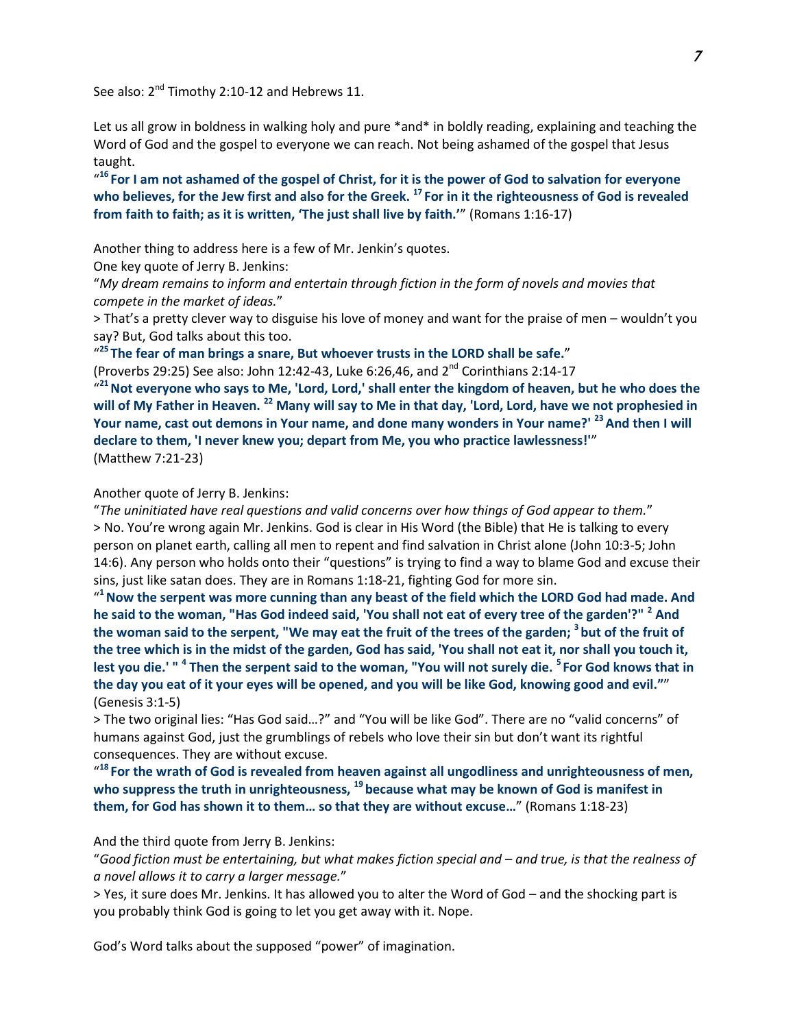See also: 2<sup>nd</sup> Timothy 2:10-12 and Hebrews 11.

Let us all grow in boldness in walking holy and pure \*and\* in boldly reading, explaining and teaching the Word of God and the gospel to everyone we can reach. Not being ashamed of the gospel that Jesus taught.

" **<sup>16</sup>For I am not ashamed of the gospel of Christ, for it is the power of God to salvation for everyone who believes, for the Jew first and also for the Greek. <sup>17</sup>For in it the righteousness of God is revealed from faith to faith; as it is written, 'The just shall live by faith.'**" (Romans 1:16-17)

Another thing to address here is a few of Mr. Jenkin's quotes.

One key quote of Jerry B. Jenkins:

"*My dream remains to inform and entertain through fiction in the form of novels and movies that compete in the market of ideas.*"

> That's a pretty clever way to disguise his love of money and want for the praise of men – wouldn't you say? But, God talks about this too.

" **<sup>25</sup>The fear of man brings a snare, But whoever trusts in the LORD shall be safe.**"

(Proverbs 29:25) See also: John 12:42-43, Luke 6:26,46, and  $2^{nd}$  Corinthians 2:14-17

" **<sup>21</sup>Not everyone who says to Me, 'Lord, Lord,' shall enter the kingdom of heaven, but he who does the will of My Father in Heaven. <sup>22</sup> Many will say to Me in that day, 'Lord, Lord, have we not prophesied in Your name, cast out demons in Your name, and done many wonders in Your name?' <sup>23</sup>And then I will declare to them, 'I never knew you; depart from Me, you who practice lawlessness!'**" (Matthew 7:21-23)

#### Another quote of Jerry B. Jenkins:

"*The uninitiated have real questions and valid concerns over how things of God appear to them.*" > No. You're wrong again Mr. Jenkins. God is clear in His Word (the Bible) that He is talking to every person on planet earth, calling all men to repent and find salvation in Christ alone (John 10:3-5; John 14:6). Any person who holds onto their "questions" is trying to find a way to blame God and excuse their sins, just like satan does. They are in Romans 1:18-21, fighting God for more sin.

" **<sup>1</sup>Now the serpent was more cunning than any beast of the field which the LORD God had made. And he said to the woman, "Has God indeed said, 'You shall not eat of every tree of the garden'?" <sup>2</sup> And the woman said to the serpent, "We may eat the fruit of the trees of the garden; <sup>3</sup>but of the fruit of the tree which is in the midst of the garden, God has said, 'You shall not eat it, nor shall you touch it, lest you die.' " <sup>4</sup> Then the serpent said to the woman, "You will not surely die. <sup>5</sup>For God knows that in the day you eat of it your eyes will be opened, and you will be like God, knowing good and evil."**" (Genesis 3:1-5)

> The two original lies: "Has God said…?" and "You will be like God". There are no "valid concerns" of humans against God, just the grumblings of rebels who love their sin but don't want its rightful consequences. They are without excuse.

<sup>418</sup> For the wrath of God is revealed from heaven against all ungodliness and unrighteousness of men, **who suppress the truth in unrighteousness, <sup>19</sup>because what may be known of God is manifest in them, for God has shown it to them… so that they are without excuse…**" (Romans 1:18-23)

### And the third quote from Jerry B. Jenkins:

"*Good fiction must be entertaining, but what makes fiction special and – and true, is that the realness of a novel allows it to carry a larger message.*"

> Yes, it sure does Mr. Jenkins. It has allowed you to alter the Word of God – and the shocking part is you probably think God is going to let you get away with it. Nope.

God's Word talks about the supposed "power" of imagination.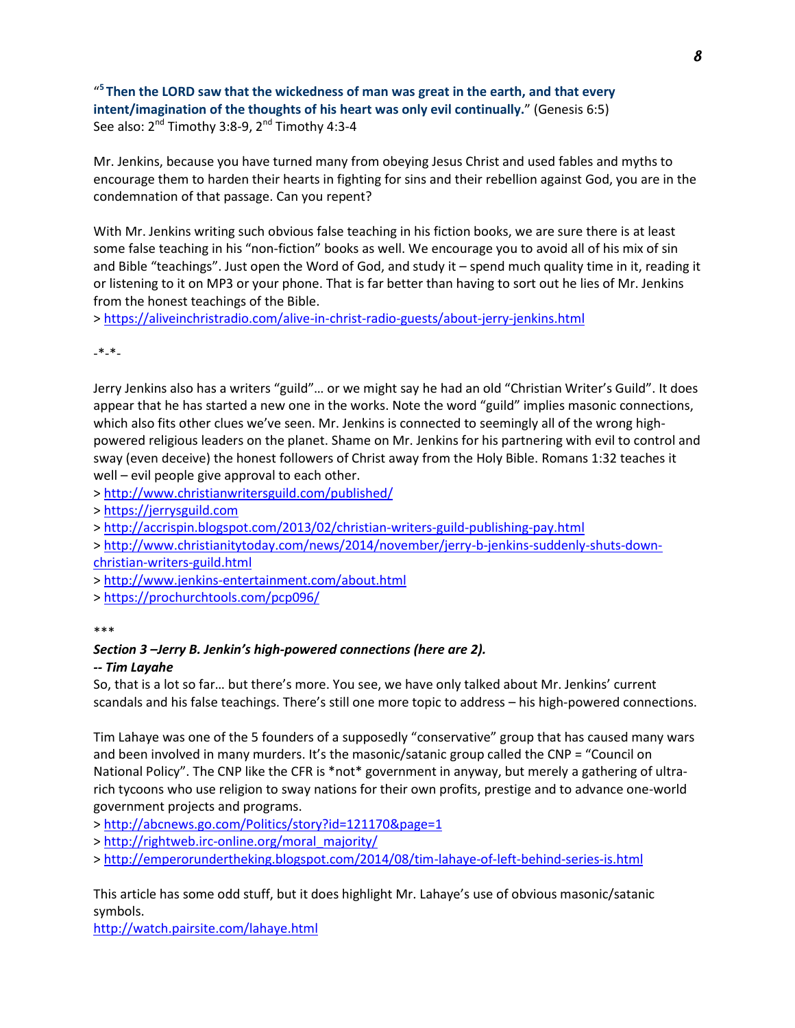" **<sup>5</sup>Then the LORD saw that the wickedness of man was great in the earth, and that every intent/imagination of the thoughts of his heart was only evil continually.**" (Genesis 6:5) See also:  $2^{nd}$  Timothy 3:8-9,  $2^{nd}$  Timothy 4:3-4

Mr. Jenkins, because you have turned many from obeying Jesus Christ and used fables and myths to encourage them to harden their hearts in fighting for sins and their rebellion against God, you are in the condemnation of that passage. Can you repent?

With Mr. Jenkins writing such obvious false teaching in his fiction books, we are sure there is at least some false teaching in his "non-fiction" books as well. We encourage you to avoid all of his mix of sin and Bible "teachings". Just open the Word of God, and study it – spend much quality time in it, reading it or listening to it on MP3 or your phone. That is far better than having to sort out he lies of Mr. Jenkins from the honest teachings of the Bible.

><https://aliveinchristradio.com/alive-in-christ-radio-guests/about-jerry-jenkins.html>

-\*-\*-

Jerry Jenkins also has a writers "guild"… or we might say he had an old "Christian Writer's Guild". It does appear that he has started a new one in the works. Note the word "guild" implies masonic connections, which also fits other clues we've seen. Mr. Jenkins is connected to seemingly all of the wrong highpowered religious leaders on the planet. Shame on Mr. Jenkins for his partnering with evil to control and sway (even deceive) the honest followers of Christ away from the Holy Bible. Romans 1:32 teaches it well – evil people give approval to each other.

><http://www.christianwritersguild.com/published/>

> [https://jerrysguild.com](https://jerrysguild.com/)

><http://accrispin.blogspot.com/2013/02/christian-writers-guild-publishing-pay.html>

> [http://www.christianitytoday.com/news/2014/november/jerry-b-jenkins-suddenly-shuts-down](http://www.christianitytoday.com/news/2014/november/jerry-b-jenkins-suddenly-shuts-down-christian-writers-guild.html)[christian-writers-guild.html](http://www.christianitytoday.com/news/2014/november/jerry-b-jenkins-suddenly-shuts-down-christian-writers-guild.html)

><http://www.jenkins-entertainment.com/about.html>

><https://prochurchtools.com/pcp096/>

## *Section 3 –Jerry B. Jenkin's high-powered connections (here are 2).*

## *-- Tim Layahe*

So, that is a lot so far… but there's more. You see, we have only talked about Mr. Jenkins' current scandals and his false teachings. There's still one more topic to address – his high-powered connections.

Tim Lahaye was one of the 5 founders of a supposedly "conservative" group that has caused many wars and been involved in many murders. It's the masonic/satanic group called the CNP = "Council on National Policy". The CNP like the CFR is \*not\* government in anyway, but merely a gathering of ultrarich tycoons who use religion to sway nations for their own profits, prestige and to advance one-world government projects and programs.

><http://abcnews.go.com/Politics/story?id=121170&page=1>

> [http://rightweb.irc-online.org/moral\\_majority/](http://rightweb.irc-online.org/moral_majority/)

><http://emperorundertheking.blogspot.com/2014/08/tim-lahaye-of-left-behind-series-is.html>

This article has some odd stuff, but it does highlight Mr. Lahaye's use of obvious masonic/satanic symbols.

<http://watch.pairsite.com/lahaye.html>

<sup>\*\*\*</sup>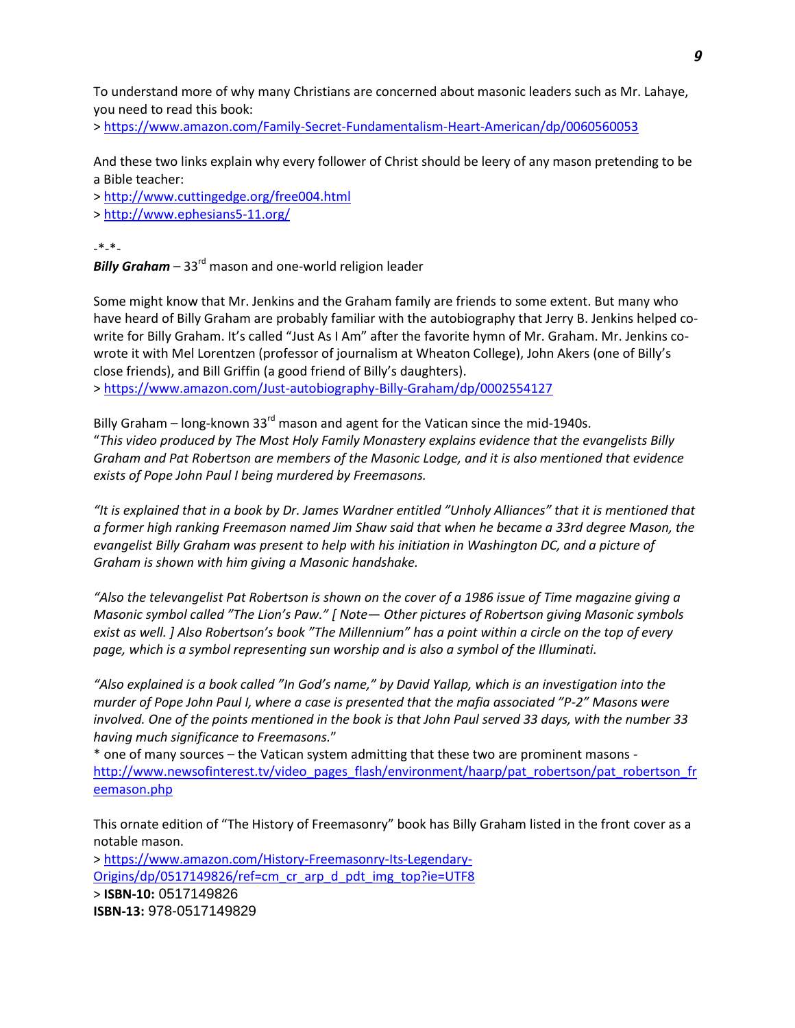To understand more of why many Christians are concerned about masonic leaders such as Mr. Lahaye, you need to read this book:

><https://www.amazon.com/Family-Secret-Fundamentalism-Heart-American/dp/0060560053>

And these two links explain why every follower of Christ should be leery of any mason pretending to be a Bible teacher:

><http://www.cuttingedge.org/free004.html>

><http://www.ephesians5-11.org/>

-\*-\*-

**Billy Graham** – 33<sup>rd</sup> mason and one-world religion leader

Some might know that Mr. Jenkins and the Graham family are friends to some extent. But many who have heard of Billy Graham are probably familiar with the autobiography that Jerry B. Jenkins helped cowrite for Billy Graham. It's called "Just As I Am" after the favorite hymn of Mr. Graham. Mr. Jenkins cowrote it with Mel Lorentzen (professor of journalism at Wheaton College), John Akers (one of Billy's close friends), and Bill Griffin (a good friend of Billy's daughters). ><https://www.amazon.com/Just-autobiography-Billy-Graham/dp/0002554127>

Billy Graham – long-known 33 $^{\text{rd}}$  mason and agent for the Vatican since the mid-1940s. "*This video produced by [The Most Holy Family Monastery](http://www.mostholyfamilymonastery.com/) explains evidence that the evangelists Billy Graham and Pat Robertson are members of the Masonic Lodge, and it is also mentioned that evidence exists of Pope John Paul I being murdered by Freemasons.*

*"It is explained that in a book by Dr. James Wardner entitled "Unholy Alliances" that it is mentioned that a former high ranking Freemason named Jim Shaw said that when he became a 33rd degree Mason, the evangelist Billy Graham was present to help with his initiation in Washington DC, and a picture of Graham is shown with him giving a Masonic handshake.*

*"Also the televangelist Pat Robertson is shown on the cover of a 1986 issue of Time magazine giving a Masonic symbol called "The Lion's Paw." [ Note— Other pictures of Robertson giving Masonic symbols exist as well. ] Also Robertson's book "The Millennium" has a point within a circle on the top of every page, which is a symbol representing sun worship and is also a symbol of the Illuminati.*

*"Also explained is a book called "In God's name," by David Yallap, which is an investigation into the murder of Pope John Paul I, where a case is presented that the mafia associated "P-2" Masons were involved. One of the points mentioned in the book is that John Paul served 33 days, with the number 33 having much significance to Freemasons.*"

\* one of many sources – the Vatican system admitting that these two are prominent masons [http://www.newsofinterest.tv/video\\_pages\\_flash/environment/haarp/pat\\_robertson/pat\\_robertson\\_fr](http://www.newsofinterest.tv/video_pages_flash/environment/haarp/pat_robertson/pat_robertson_freemason.php) [eemason.php](http://www.newsofinterest.tv/video_pages_flash/environment/haarp/pat_robertson/pat_robertson_freemason.php)

This ornate edition of "The History of Freemasonry" book has Billy Graham listed in the front cover as a notable mason.

> [https://www.amazon.com/History-Freemasonry-Its-Legendary-](https://www.amazon.com/History-Freemasonry-Its-Legendary-Origins/dp/0517149826/ref=cm_cr_arp_d_pdt_img_top?ie=UTF8)[Origins/dp/0517149826/ref=cm\\_cr\\_arp\\_d\\_pdt\\_img\\_top?ie=UTF8](https://www.amazon.com/History-Freemasonry-Its-Legendary-Origins/dp/0517149826/ref=cm_cr_arp_d_pdt_img_top?ie=UTF8) > **ISBN-10:** 0517149826 **ISBN-13:** 978-0517149829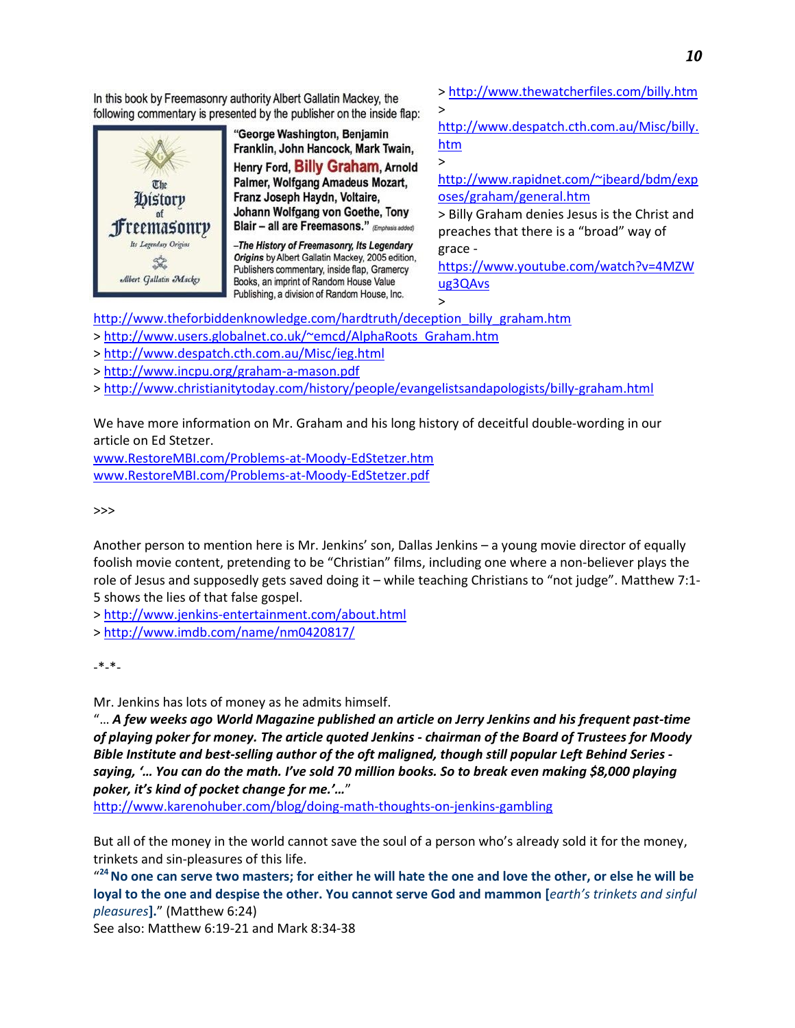*10*

In this book by Freemasonry authority Albert Gallatin Mackey, the following commentary is presented by the publisher on the inside flap:



"George Washington, Benjamin Franklin, John Hancock, Mark Twain, Henry Ford, Billy Graham, Arnold Palmer, Wolfgang Amadeus Mozart, Franz Joseph Haydn, Voltaire, Johann Wolfgang von Goethe, Tony Blair - all are Freemasons." (Emphasis added)

-The History of Freemasonry, Its Legendary Origins by Albert Gallatin Mackey, 2005 edition, Publishers commentary, inside flap, Gramercy Books, an imprint of Random House Value Publishing, a division of Random House, Inc.

[> http://www.thewatcherfiles.com/billy.htm](http://www.thewatcherfiles.com/billy.htm)

[http://www.despatch.cth.com.au/Misc/billy.](http://www.despatch.cth.com.au/Misc/billy.htm) [htm](http://www.despatch.cth.com.au/Misc/billy.htm)

[http://www.rapidnet.com/~jbeard/bdm/exp](http://www.rapidnet.com/~jbeard/bdm/exposes/graham/general.htm) [oses/graham/general.htm](http://www.rapidnet.com/~jbeard/bdm/exposes/graham/general.htm)

> Billy Graham denies Jesus is the Christ and preaches that there is a "broad" way of grace -

[https://www.youtube.com/watch?v=4MZW](https://www.youtube.com/watch?v=4MZWug3QAvs) [ug3QAvs](https://www.youtube.com/watch?v=4MZWug3QAvs)

[http://www.theforbiddenknowledge.com/hardtruth/deception\\_billy\\_graham.htm](http://www.theforbiddenknowledge.com/hardtruth/deception_billy_graham.htm)

> [http://www.users.globalnet.co.uk/~emcd/AlphaRoots\\_Graham.htm](http://www.users.globalnet.co.uk/~emcd/AlphaRoots_Graham.htm)

><http://www.despatch.cth.com.au/Misc/ieg.html>

><http://www.incpu.org/graham-a-mason.pdf>

><http://www.christianitytoday.com/history/people/evangelistsandapologists/billy-graham.html>

>

>

>

We have more information on Mr. Graham and his long history of deceitful double-wording in our article on Ed Stetzer.

[www.RestoreMBI.com/Problems-at-Moody-EdStetzer.htm](http://www.restorembi.com/Problems-at-Moody-EdStetzer.htm) [www.RestoreMBI.com/Problems-at-Moody-EdStetzer.pdf](http://www.restorembi.com/Problems-at-Moody-EdStetzer.pdf)

>>>

Another person to mention here is Mr. Jenkins' son, Dallas Jenkins – a young movie director of equally foolish movie content, pretending to be "Christian" films, including one where a non-believer plays the role of Jesus and supposedly gets saved doing it – while teaching Christians to "not judge". Matthew 7:1- 5 shows the lies of that false gospel.

><http://www.jenkins-entertainment.com/about.html>

><http://www.imdb.com/name/nm0420817/>

-\*-\*-

Mr. Jenkins has lots of money as he admits himself.

"… *A few weeks ago [World Magazine](http://www.worldmag.com/2013/10/no_bluffing) published an article on Jerry Jenkins and his frequent past-time of playing poker for money. The article quoted Jenkins - chairman of the Board of Trustees for Moody Bible Institute and best-selling author of the oft maligned, though still popular Left Behind Series saying, '… You can do the math. I've sold 70 million books. So to break even making \$8,000 playing poker, it's kind of pocket change for me.'…*"

<http://www.karenohuber.com/blog/doing-math-thoughts-on-jenkins-gambling>

But all of the money in the world cannot save the soul of a person who's already sold it for the money, trinkets and sin-pleasures of this life.

" **<sup>24</sup>No one can serve two masters; for either he will hate the one and love the other, or else he will be loyal to the one and despise the other. You cannot serve God and mammon [***earth's trinkets and sinful pleasures***].**" (Matthew 6:24)

See also: Matthew 6:19-21 and Mark 8:34-38